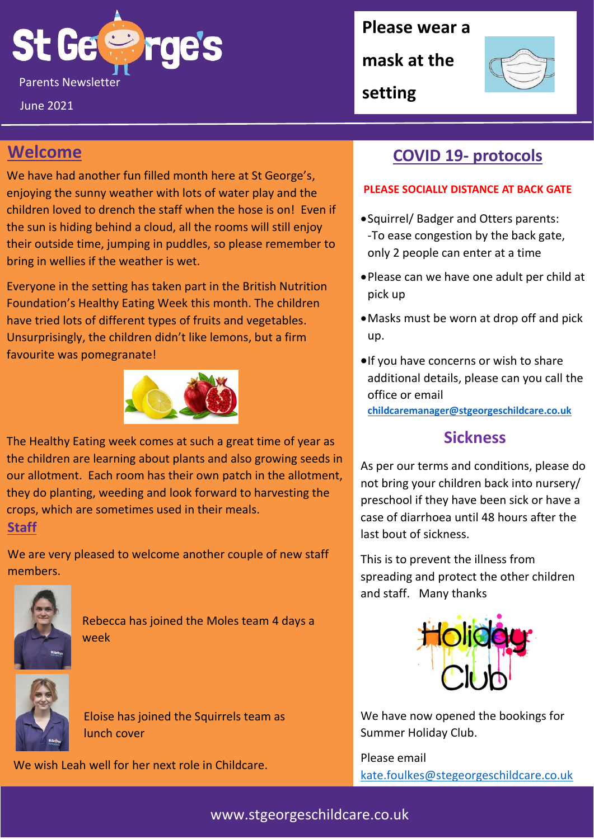**St Ge &** Parents Newsletter September 2019 and 2019 and 2019 and 2019 and 2019 and 2019 and 2019 and 2019 and 2019 and 2019 and 2019 and 2019 and 2019 and 2019 and 2019 and 2019 and 2019 and 2019 and 2019 and 2019 and 2019 and 2019

June 2021

**Please wear a** 

**mask at the** 

**setting**



## **Welcome**

We have had another fun filled month here at St George's, enjoying the sunny weather with lots of water play and the children loved to drench the staff when the hose is on! Even if the sun is hiding behind a cloud, all the rooms will still enjoy their outside time, jumping in puddles, so please remember to bring in wellies if the weather is wet.

Everyone in the setting has taken part in the British Nutrition Foundation's Healthy Eating Week this month. The children have tried lots of different types of fruits and vegetables. Unsurprisingly, the children didn't like lemons, but a firm favourite was pomegranate!



The Healthy Eating week comes at such a great time of year as the children are learning about plants and also growing seeds in our allotment. Each room has their own patch in the allotment, they do planting, weeding and look forward to harvesting the crops, which are sometimes used in their meals.

#### **Staff**

We are very pleased to welcome another couple of new staff members.



Rebecca has joined the Moles team 4 days a week



Eloise has joined the Squirrels team as lunch cover

We wish Leah well for her next role in Childcare.

# **COVID 19- protocols**

#### **PLEASE SOCIALLY DISTANCE AT BACK GATE**

- •Squirrel/ Badger and Otters parents: -To ease congestion by the back gate, only 2 people can enter at a time
- •Please can we have one adult per child at pick up
- •Masks must be worn at drop off and pick up.
- •If you have concerns or wish to share additional details, please can you call the office or email **[childcaremanager@stgeorgeschildcare.co.uk](mailto:childcaremanager@stgeorgeschildcare.co.uk)**

### **Sickness**

As per our terms and conditions, please do not bring your children back into nursery/ preschool if they have been sick or have a case of diarrhoea until 48 hours after the last bout of sickness.

This is to prevent the illness from spreading and protect the other children and staff. Many thanks



We have now opened the bookings for Summer Holiday Club.

Please email [kate.foulkes@stegeorgeschildcare.co.uk](mailto:kate.foulkes@stegeorgeschildcare.co.uk)

### www.stgeorgeschildcare.co.uk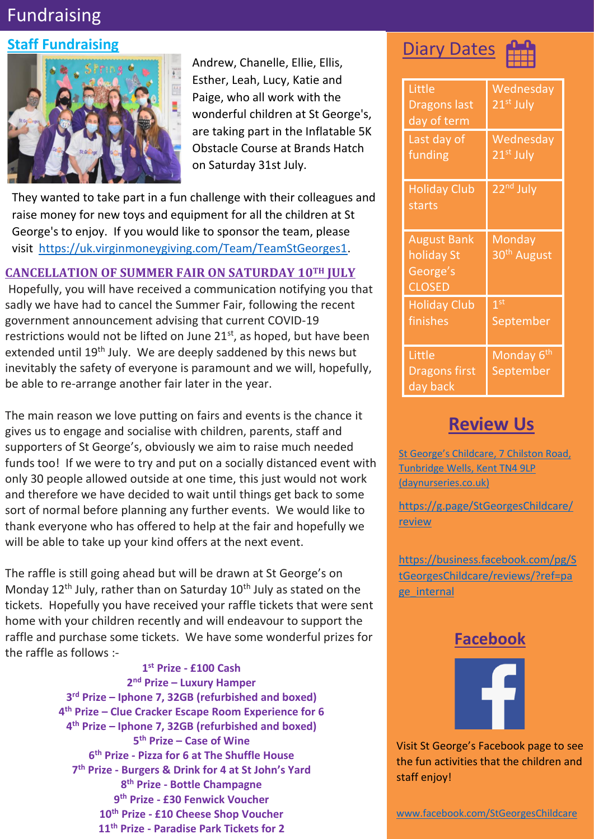# Fundraising

## **Staff Fundraising**



Andrew, Chanelle, Ellie, Ellis, Esther, Leah, Lucy, Katie and Paige, who all work with the wonderful children at St George's, are taking part in the Inflatable 5K Obstacle Course at Brands Hatch on Saturday 31st July.

They wanted to take part in a fun challenge with their colleagues and raise money for new toys and equipment for all the children at St George's to enjoy. If you would like to sponsor the team, please visit [https://uk.virginmoneygiving.com/Team/TeamStGeorges1.](https://uk.virginmoneygiving.com/Team/TeamStGeorges1)

#### **CANCELLATION OF SUMMER FAIR ON SATURDAY 10TH JULY**

Hopefully, you will have received a communication notifying you that sadly we have had to cancel the Summer Fair, following the recent government announcement advising that current COVID-19 restrictions would not be lifted on June  $21^{st}$ , as hoped, but have been extended until 19<sup>th</sup> July. We are deeply saddened by this news but inevitably the safety of everyone is paramount and we will, hopefully, be able to re-arrange another fair later in the year.

The main reason we love putting on fairs and events is the chance it gives us to engage and socialise with children, parents, staff and supporters of St George's, obviously we aim to raise much needed funds too! If we were to try and put on a socially distanced event with only 30 people allowed outside at one time, this just would not work and therefore we have decided to wait until things get back to some sort of normal before planning any further events. We would like to thank everyone who has offered to help at the fair and hopefully we will be able to take up your kind offers at the next event.

The raffle is still going ahead but will be drawn at St George's on Monday  $12<sup>th</sup>$  July, rather than on Saturday  $10<sup>th</sup>$  July as stated on the tickets. Hopefully you have received your raffle tickets that were sent home with your children recently and will endeavour to support the raffle and purchase some tickets. We have some wonderful prizes for the raffle as follows :-

> **st Prize - £100 Cash nd Prize – Luxury Hamper rd Prize – Iphone 7, 32GB (refurbished and boxed) th Prize – Clue Cracker Escape Room Experience for 6 th Prize – Iphone 7, 32GB (refurbished and boxed) th Prize – Case of Wine th Prize - Pizza for 6 at The Shuffle House th Prize - Burgers & Drink for 4 at St John's Yard th Prize - Bottle Champagne th Prize - £30 Fenwick Voucher th Prize - £10 Cheese Shop Voucher th Prize - Paradise Park Tickets for 2**





| Little<br><b>Dragons last</b><br>day of term                  | Wednesday<br>21 <sup>st</sup> July  |
|---------------------------------------------------------------|-------------------------------------|
| Last day of<br>funding                                        | Wednesday<br>21 <sup>st</sup> July  |
| <b>Holiday Club</b><br>starts                                 | 22 <sup>nd</sup> July               |
| <b>August Bank</b><br>holiday St<br>George's<br><b>CLOSED</b> | Monday<br>30 <sup>th</sup> August   |
| <b>Holiday Club</b><br>finishes                               | 1 <sup>st</sup><br>September        |
| Little<br><b>Dragons first</b><br>day back                    | Monday 6 <sup>th</sup><br>September |

## **Review Us**

[St George's Childcare, 7 Chilston Road,](https://www.daynurseries.co.uk/daynursery.cfm/searchazref/50001050GEOA/rcsid/1001#submit-review-tab)  [Tunbridge Wells, Kent TN4 9LP](https://www.daynurseries.co.uk/daynursery.cfm/searchazref/50001050GEOA/rcsid/1001#submit-review-tab)  [\(daynurseries.co.uk\)](https://www.daynurseries.co.uk/daynursery.cfm/searchazref/50001050GEOA/rcsid/1001#submit-review-tab)

[https://g.page/StGeorgesChildcare/](https://g.page/StGeorgesChildcare/review) [review](https://g.page/StGeorgesChildcare/review)

[https://business.facebook.com/pg/S](https://business.facebook.com/pg/StGeorgesChildcare/reviews/?ref=page_internal) [tGeorgesChildcare/reviews/?ref=pa](https://business.facebook.com/pg/StGeorgesChildcare/reviews/?ref=page_internal) [ge\\_internal](https://business.facebook.com/pg/StGeorgesChildcare/reviews/?ref=page_internal)

## **Facebook**



Visit St George's Facebook page to see the fun activities that the children and staff enjoy!

[www.facebook.com/StGeorgesChildcare](http://www.facebook.com/StGeorgesChildcare)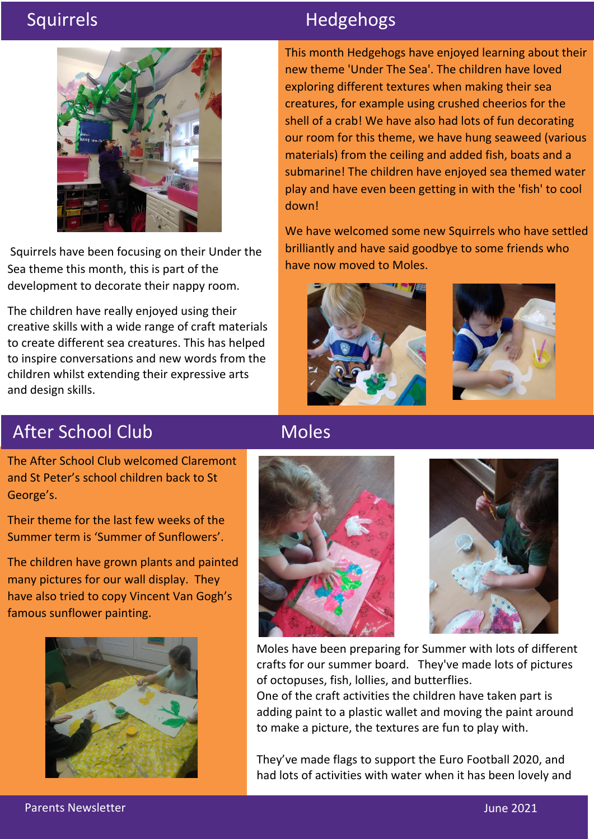

Squirrels have been focusing on their Under the Sea theme this month, this is part of the development to decorate their nappy room.

The children have really enjoyed using their creative skills with a wide range of craft materials to create different sea creatures. This has helped to inspire conversations and new words from the children whilst extending their expressive arts and design skills.

# Squirrels **Hedgehogs**

This month Hedgehogs have enjoyed learning about their new theme 'Under The Sea'. The children have loved exploring different textures when making their sea creatures, for example using crushed cheerios for the shell of a crab! We have also had lots of fun decorating our room for this theme, we have hung seaweed (various materials) from the ceiling and added fish, boats and a submarine! The children have enjoyed sea themed water play and have even been getting in with the 'fish' to cool down!

We have welcomed some new Squirrels who have settled brilliantly and have said goodbye to some friends who have now moved to Moles.





# After School Club

The After School Club welcomed Claremont and St Peter's school children back to St George's.

Their theme for the last few weeks of the Summer term is 'Summer of Sunflowers'.

The children have grown plants and painted many pictures for our wall display. They have also tried to copy Vincent Van Gogh's famous sunflower painting.





hot.

Moles



Moles have been preparing for Summer with lots of different crafts for our summer board. They've made lots of pictures of octopuses, fish, lollies, and butterflies.

One of the craft activities the children have taken part is adding paint to a plastic wallet and moving the paint around to make a picture, the textures are fun to play with.

They've made flags to support the Euro Football 2020, and had lots of activities with water when it has been lovely and

Parents Newsletter June 2021 and the United States of the United States of the United States of the United States of the United States of the United States of the United States of the United States of the United States of